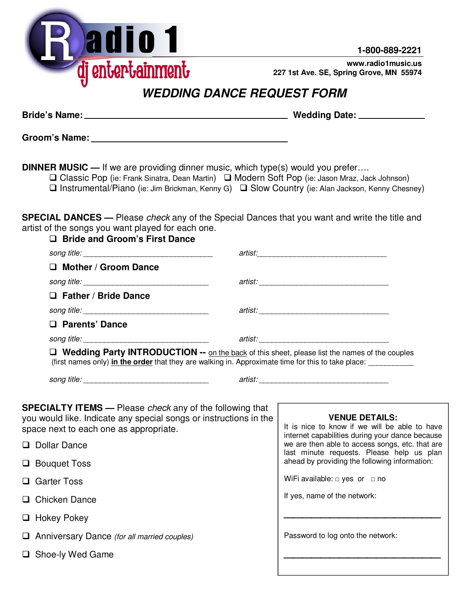

**1-800-889-2221**

**www.radio1music.us 227 1st Ave. SE, Spring Grove, MN 55974**

## **WEDDING DANCE REQUEST FORM**

**Bride's Name: Wedding Date:** 

**Groom's Name:** 

**DINNER MUSIC —** If we are providing dinner music, which type(s) would you prefer….

| □ Classic Pop (ie: Frank Sinatra, Dean Martin) □ Modern Soft Pop (ie: Jason Mraz, Jack Johnson)                   |
|-------------------------------------------------------------------------------------------------------------------|
| $\square$ Instrumental/Piano (ie: Jim Brickman, Kenny G) $\square$ Slow Country (ie: Alan Jackson, Kenny Chesney) |

**SPECIAL DANCES —** Please check any of the Special Dances that you want and write the title and artist of the songs you want played for each one. **Bride and Groom's First Dance** 

| U DING ANG GIOUNI SI IISL DANGG                                                                                                                                                                     |                                                                                                                                                                              |
|-----------------------------------------------------------------------------------------------------------------------------------------------------------------------------------------------------|------------------------------------------------------------------------------------------------------------------------------------------------------------------------------|
|                                                                                                                                                                                                     |                                                                                                                                                                              |
| $\Box$ Mother / Groom Dance                                                                                                                                                                         |                                                                                                                                                                              |
|                                                                                                                                                                                                     |                                                                                                                                                                              |
| $\Box$ Father / Bride Dance                                                                                                                                                                         |                                                                                                                                                                              |
|                                                                                                                                                                                                     |                                                                                                                                                                              |
| □ Parents' Dance                                                                                                                                                                                    |                                                                                                                                                                              |
| song title: <u>www.community.community.community.community.community.community.com</u>                                                                                                              | artist: www.artist.com/www.artist.com/www.artist.com/www.artist.com/                                                                                                         |
| Wedding Party INTRODUCTION -- on the back of this sheet, please list the names of the couples<br>(first names only) in the order that they are walking in. Approximate time for this to take place: |                                                                                                                                                                              |
|                                                                                                                                                                                                     |                                                                                                                                                                              |
| <b>SPECIALTY ITEMS</b> — Please check any of the following that<br>you would like. Indicate any special songs or instructions in the<br>space next to each one as appropriate.<br>Dollar Dance      | <b>VENUE DETAILS:</b><br>It is nice to know if we will be able to have<br>internet capabilities during your dance because<br>we are then able to access songs, etc. that are |
| $\Box$ Bouquet Toss                                                                                                                                                                                 | last minute requests. Please help us plan<br>ahead by providing the following information:                                                                                   |
| □ Garter Toss                                                                                                                                                                                       | WiFi available: $\Box$ yes or $\Box$ no                                                                                                                                      |
| $\Box$ Chicken Dance                                                                                                                                                                                | If yes, name of the network:                                                                                                                                                 |
| $\Box$ Hokey Pokey                                                                                                                                                                                  |                                                                                                                                                                              |
| $\Box$ Anniversary Dance (for all married couples)                                                                                                                                                  | Password to log onto the network:                                                                                                                                            |
| □ Shoe-ly Wed Game                                                                                                                                                                                  |                                                                                                                                                                              |